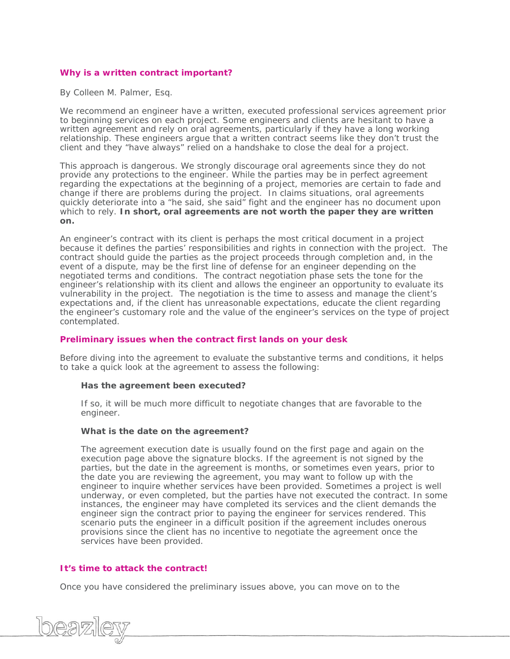# **Why is a written contract important?**

By Colleen M. Palmer, Esq.

We recommend an engineer have a written, executed professional services agreement prior to beginning services on each project. Some engineers and clients are hesitant to have a written agreement and rely on oral agreements, particularly if they have a long working relationship. These engineers argue that a written contract seems like they don't trust the client and they "have always" relied on a handshake to close the deal for a project.

This approach is dangerous. We strongly discourage oral agreements since they do not provide any protections to the engineer. While the parties may be in perfect agreement regarding the expectations at the beginning of a project, memories are certain to fade and change if there are problems during the project. In claims situations, oral agreements quickly deteriorate into a "he said, she said" fight and the engineer has no document upon which to rely. **In short, oral agreements are not worth the paper they are written on.** 

An engineer's contract with its client is perhaps the most critical document in a project because it defines the parties' responsibilities and rights in connection with the project. The contract should guide the parties as the project proceeds through completion and, in the event of a dispute, may be the first line of defense for an engineer depending on the negotiated terms and conditions. The contract negotiation phase sets the tone for the engineer's relationship with its client and allows the engineer an opportunity to evaluate its vulnerability in the project. The negotiation is the time to assess and manage the client's expectations and, if the client has unreasonable expectations, educate the client regarding the engineer's customary role and the value of the engineer's services on the type of project contemplated.

## **Preliminary issues when the contract first lands on your desk**

Before diving into the agreement to evaluate the substantive terms and conditions, it helps to take a quick look at the agreement to assess the following:

### **Has the agreement been executed?**

If so, it will be much more difficult to negotiate changes that are favorable to the engineer.

### **What is the date on the agreement?**

The agreement execution date is usually found on the first page and again on the execution page above the signature blocks. If the agreement is not signed by the parties, but the date in the agreement is months, or sometimes even years, prior to the date you are reviewing the agreement, you may want to follow up with the engineer to inquire whether services have been provided. Sometimes a project is well underway, or even completed, but the parties have not executed the contract. In some instances, the engineer may have completed its services and the client demands the engineer sign the contract prior to paying the engineer for services rendered. This scenario puts the engineer in a difficult position if the agreement includes onerous provisions since the client has no incentive to negotiate the agreement once the services have been provided.

## **It's time to attack the contract!**

Once you have considered the preliminary issues above, you can move on to the